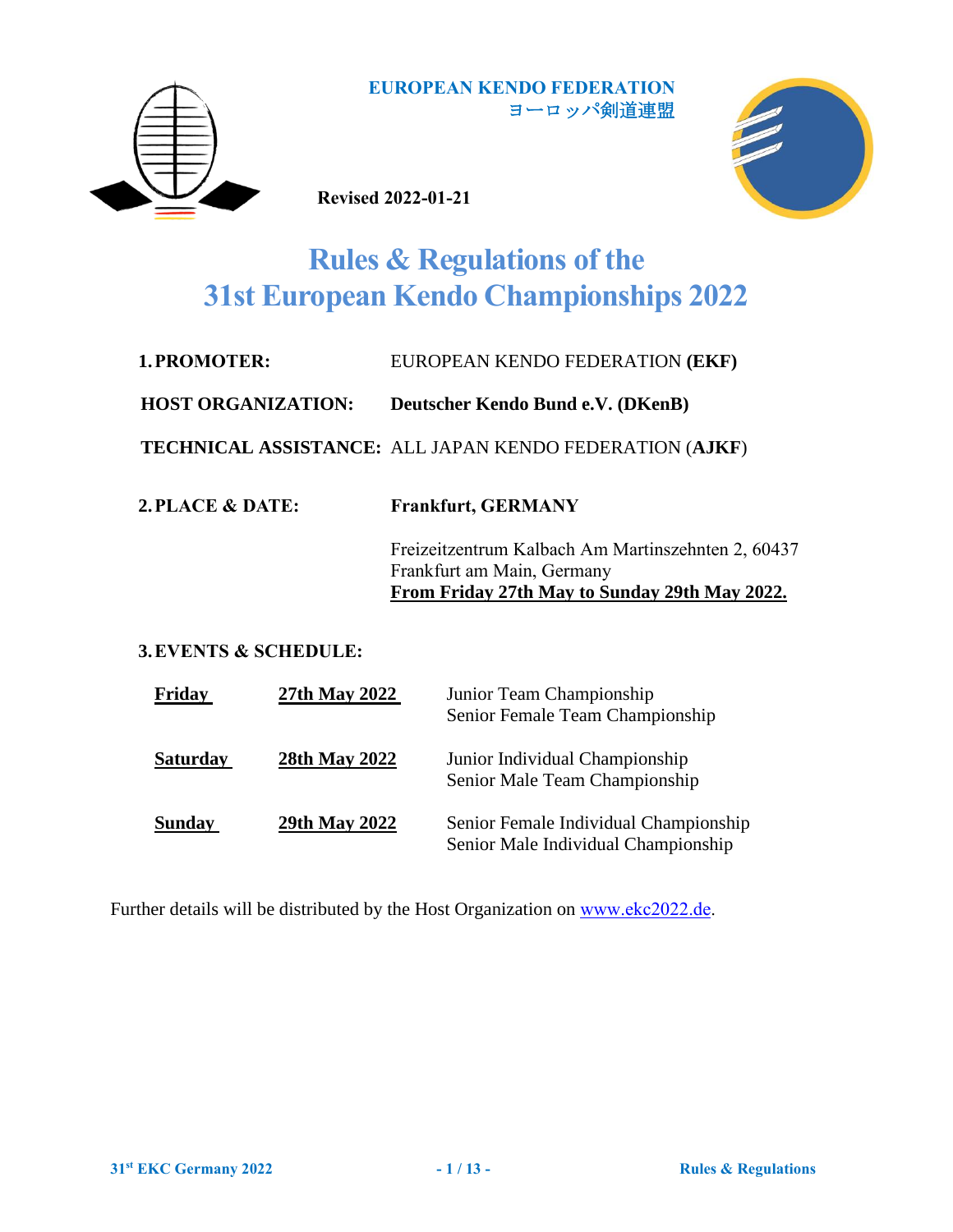

**Revised 2022-01-21**



# **Rules & Regulations of the 31st European Kendo Championships 2022**

| 1. PROMOTER: | EUROPEAN KENDO FEDERATION (EKF) |
|--------------|---------------------------------|
|              |                                 |

**HOST ORGANIZATION: Deutscher Kendo Bund e.V. (DKenB)**

**TECHNICAL ASSISTANCE:** ALL JAPAN KENDO FEDERATION (**AJKF**)

**2.PLACE & DATE: Frankfurt, GERMANY**

Freizeitzentrum Kalbach Am Martinszehnten 2, 60437 Frankfurt am Main, Germany **From Friday 27th May to Sunday 29th May 2022.**

**3.EVENTS & SCHEDULE:** 

| Friday          | 27th May 2022 | Junior Team Championship<br>Senior Female Team Championship                  |
|-----------------|---------------|------------------------------------------------------------------------------|
| <b>Saturday</b> | 28th May 2022 | Junior Individual Championship<br>Senior Male Team Championship              |
| <b>Sunday</b>   | 29th May 2022 | Senior Female Individual Championship<br>Senior Male Individual Championship |

Further details will be distributed by the Host Organization on [www.ekc2022.de.](http://www.ekc2022.de/)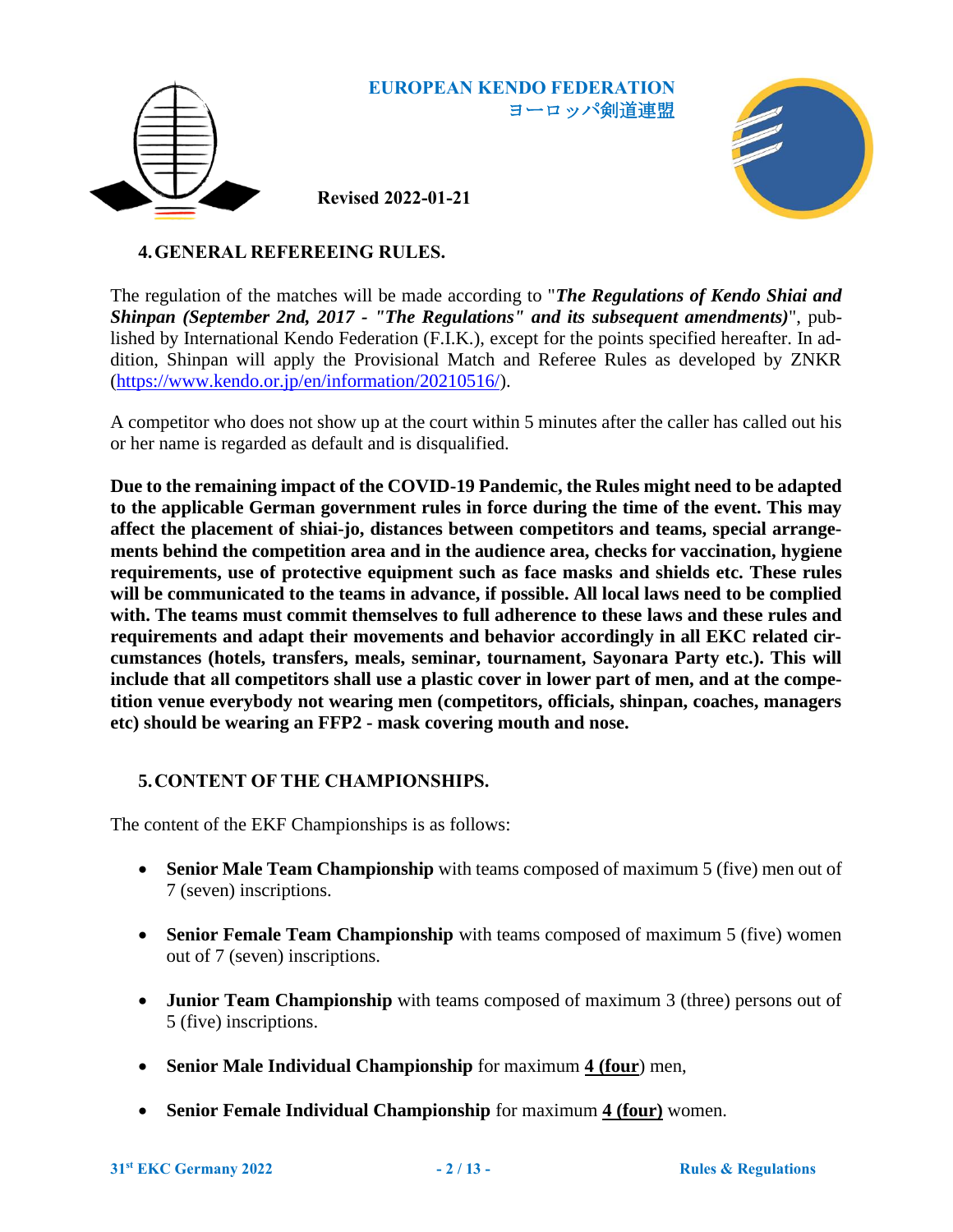

**Revised 2022-01-21**



# **4.GENERAL REFEREEING RULES.**

The regulation of the matches will be made according to "*The Regulations of Kendo Shiai and Shinpan (September 2nd, 2017 - "The Regulations" and its subsequent amendments)*", published by International Kendo Federation (F.I.K.), except for the points specified hereafter. In addition, Shinpan will apply the Provisional Match and Referee Rules as developed by ZNKR [\(https://www.kendo.or.jp/en/information/20210516/\)](https://www.kendo.or.jp/en/information/20210516/).

A competitor who does not show up at the court within 5 minutes after the caller has called out his or her name is regarded as default and is disqualified.

**Due to the remaining impact of the COVID-19 Pandemic, the Rules might need to be adapted to the applicable German government rules in force during the time of the event. This may affect the placement of shiai-jo, distances between competitors and teams, special arrangements behind the competition area and in the audience area, checks for vaccination, hygiene requirements, use of protective equipment such as face masks and shields etc. These rules will be communicated to the teams in advance, if possible. All local laws need to be complied with. The teams must commit themselves to full adherence to these laws and these rules and requirements and adapt their movements and behavior accordingly in all EKC related circumstances (hotels, transfers, meals, seminar, tournament, Sayonara Party etc.). This will include that all competitors shall use a plastic cover in lower part of men, and at the competition venue everybody not wearing men (competitors, officials, shinpan, coaches, managers etc) should be wearing an FFP2 - mask covering mouth and nose.**

# <span id="page-1-0"></span>**5.CONTENT OF THE CHAMPIONSHIPS.**

The content of the EKF Championships is as follows:

- **Senior Male Team Championship** with teams composed of maximum 5 (five) men out of 7 (seven) inscriptions.
- **Senior Female Team Championship** with teams composed of maximum 5 (five) women out of 7 (seven) inscriptions.
- **Junior Team Championship** with teams composed of maximum 3 (three) persons out of 5 (five) inscriptions.
- **Senior Male Individual Championship** for maximum **4 (four**) men,
- **Senior Female Individual Championship** for maximum **4 (four)** women.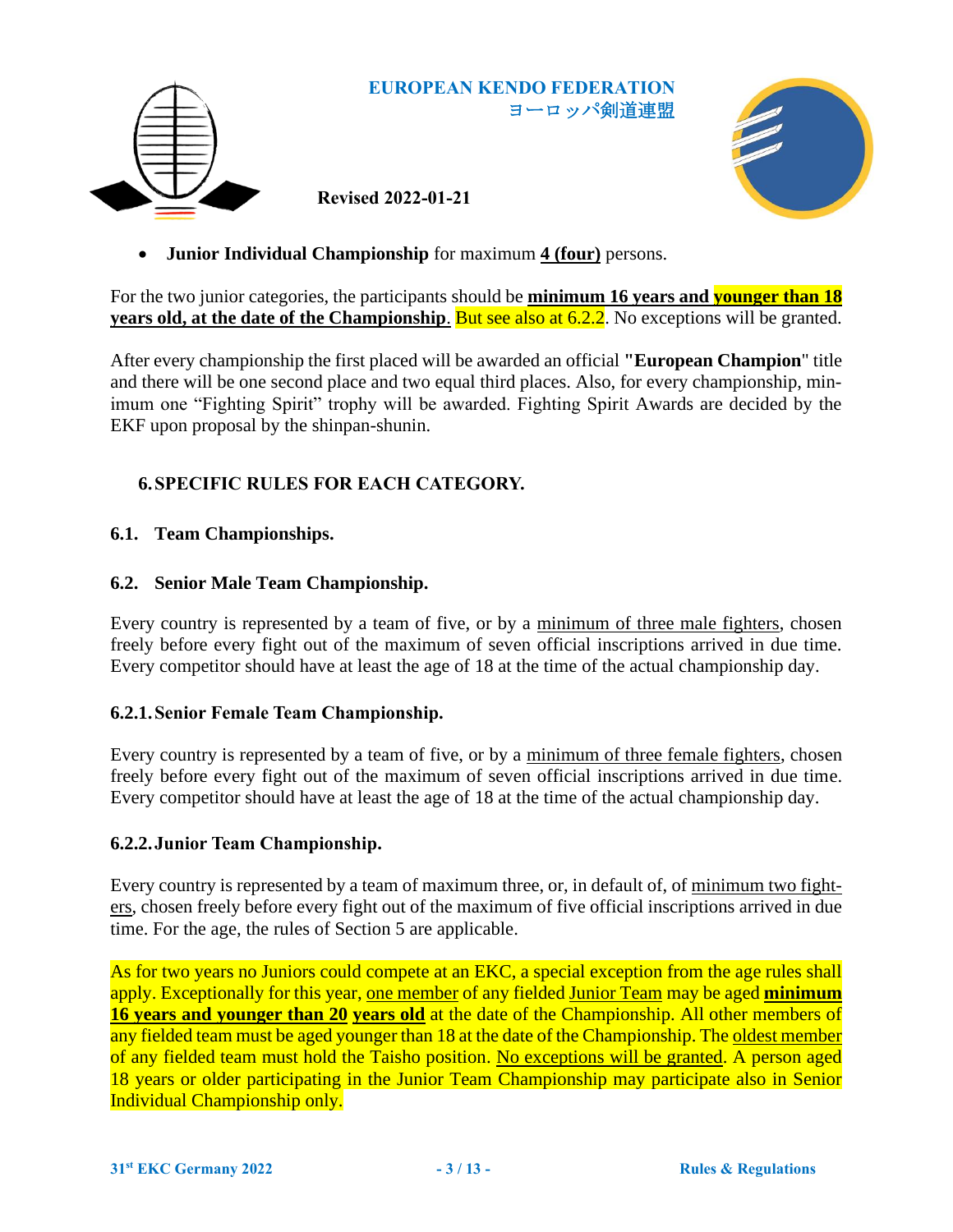

**Revised 2022-01-21**



• **Junior Individual Championship** for maximum **4 (four)** persons.

For the two junior categories, the participants should be **minimum 16 years and younger than 18 years old, at the date of the Championship**. But see also at 6.2.2. No exceptions will be granted.

After every championship the first placed will be awarded an official **"European Champion**" title and there will be one second place and two equal third places. Also, for every championship, minimum one "Fighting Spirit" trophy will be awarded. Fighting Spirit Awards are decided by the EKF upon proposal by the shinpan-shunin.

# **6.SPECIFIC RULES FOR EACH CATEGORY.**

# **6.1. Team Championships.**

# **6.2. Senior Male Team Championship.**

Every country is represented by a team of five, or by a minimum of three male fighters, chosen freely before every fight out of the maximum of seven official inscriptions arrived in due time. Every competitor should have at least the age of 18 at the time of the actual championship day.

# **6.2.1.Senior Female Team Championship.**

Every country is represented by a team of five, or by a minimum of three female fighters, chosen freely before every fight out of the maximum of seven official inscriptions arrived in due time. Every competitor should have at least the age of 18 at the time of the actual championship day.

# **6.2.2.Junior Team Championship.**

Every country is represented by a team of maximum three, or, in default of, of minimum two fighters, chosen freely before every fight out of the maximum of five official inscriptions arrived in due time. For the age, the rules of Section [5](#page-1-0) are applicable.

As for two years no Juniors could compete at an EKC, a special exception from the age rules shall apply. Exceptionally for this year, one member of any fielded Junior Team may be aged **minimum 16 years and younger than 20 years old** at the date of the Championship. All other members of any fielded team must be aged younger than 18 at the date of the Championship. The oldest member of any fielded team must hold the Taisho position. No exceptions will be granted. A person aged 18 years or older participating in the Junior Team Championship may participate also in Senior Individual Championship only.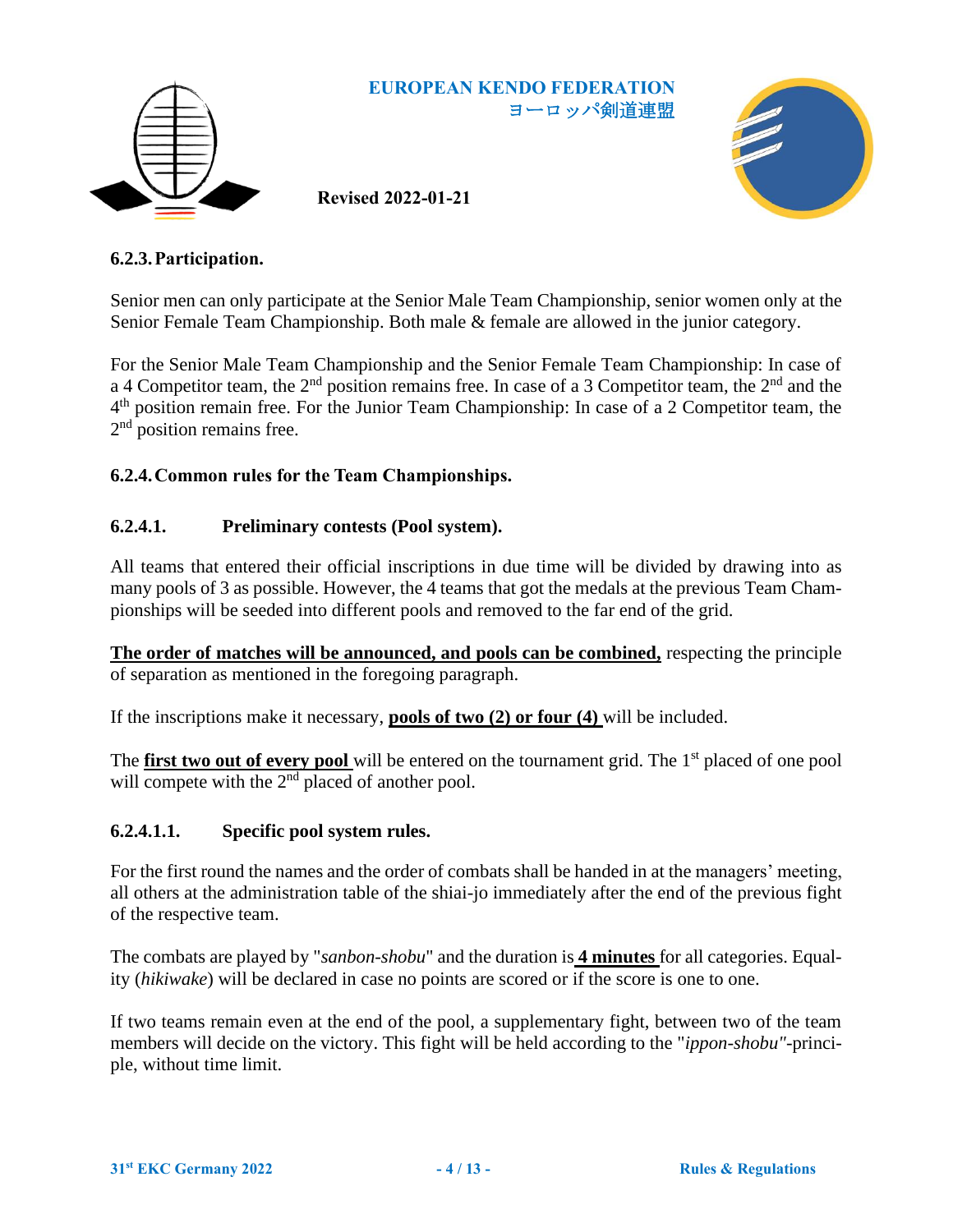

**Revised 2022-01-21**



## <span id="page-3-0"></span>**6.2.3.Participation.**

Senior men can only participate at the Senior Male Team Championship, senior women only at the Senior Female Team Championship. Both male & female are allowed in the junior category.

For the Senior Male Team Championship and the Senior Female Team Championship: In case of a 4 Competitor team, the 2<sup>nd</sup> position remains free. In case of a 3 Competitor team, the 2<sup>nd</sup> and the 4<sup>th</sup> position remain free. For the Junior Team Championship: In case of a 2 Competitor team, the 2<sup>nd</sup> position remains free.

#### **6.2.4.Common rules for the Team Championships.**

#### **6.2.4.1. Preliminary contests (Pool system).**

All teams that entered their official inscriptions in due time will be divided by drawing into as many pools of 3 as possible. However, the 4 teams that got the medals at the previous Team Championships will be seeded into different pools and removed to the far end of the grid.

**The order of matches will be announced, and pools can be combined,** respecting the principle of separation as mentioned in the foregoing paragraph.

If the inscriptions make it necessary, **pools of two (2) or four (4)** will be included.

The **first two out of every pool** will be entered on the tournament grid. The 1<sup>st</sup> placed of one pool will compete with the  $2<sup>nd</sup>$  placed of another pool.

#### **6.2.4.1.1. Specific pool system rules.**

For the first round the names and the order of combats shall be handed in at the managers' meeting, all others at the administration table of the shiai-jo immediately after the end of the previous fight of the respective team.

The combats are played by "*sanbon-shobu*" and the duration is **4 minutes** for all categories. Equality (*hikiwake*) will be declared in case no points are scored or if the score is one to one.

If two teams remain even at the end of the pool, a supplementary fight, between two of the team members will decide on the victory. This fight will be held according to the "*ippon-shobu"*-principle, without time limit.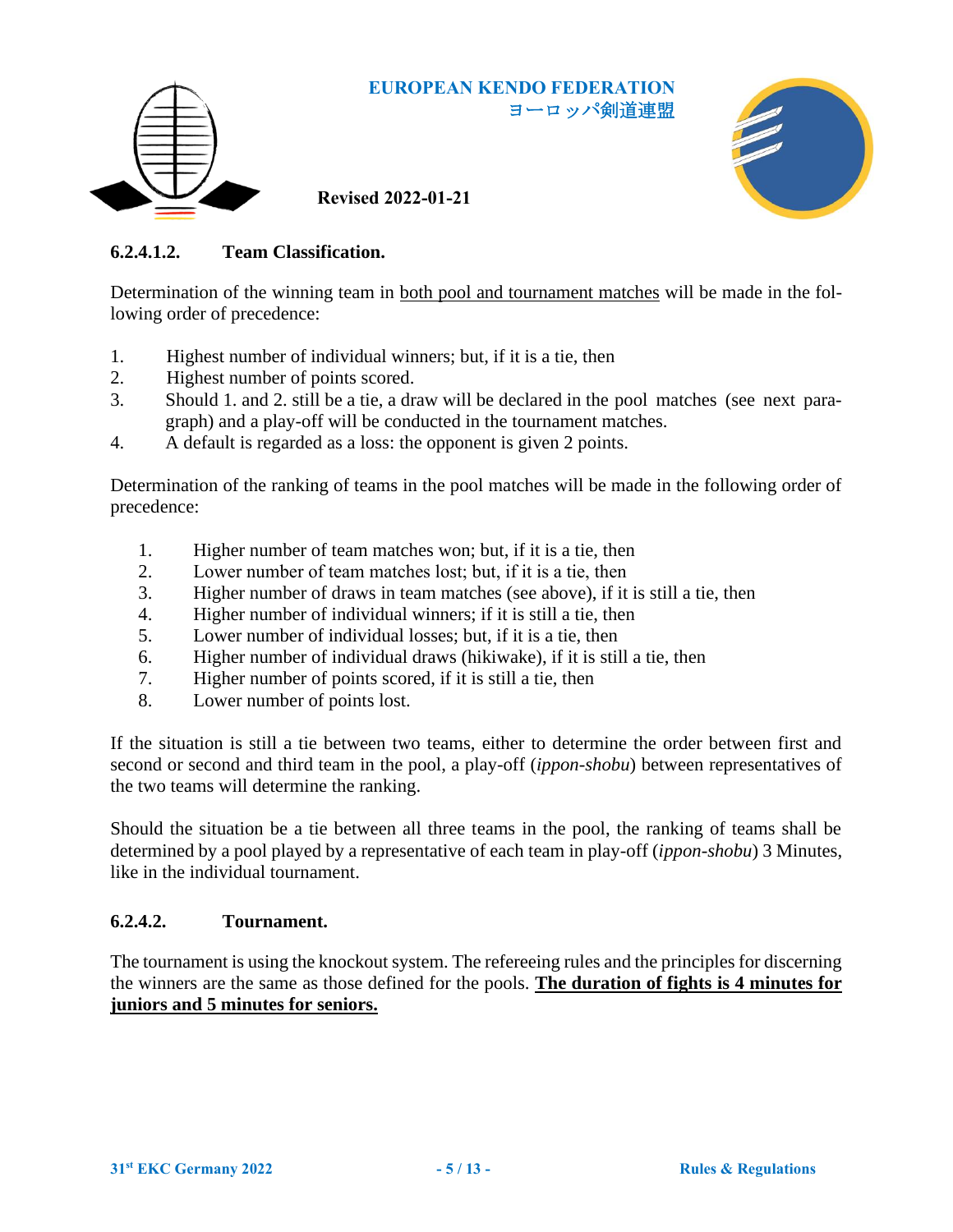

**Revised 2022-01-21**



# **6.2.4.1.2. Team Classification.**

Determination of the winning team in both pool and tournament matches will be made in the following order of precedence:

- 1. Highest number of individual winners; but, if it is a tie, then
- 2. Highest number of points scored.
- 3. Should 1. and 2. still be a tie, a draw will be declared in the pool matches (see next paragraph) and a play-off will be conducted in the tournament matches.
- 4. A default is regarded as a loss: the opponent is given 2 points.

Determination of the ranking of teams in the pool matches will be made in the following order of precedence:

- 1. Higher number of team matches won; but, if it is a tie, then
- 2. Lower number of team matches lost; but, if it is a tie, then
- 3. Higher number of draws in team matches (see above), if it is still a tie, then
- 4. Higher number of individual winners; if it is still a tie, then
- 5. Lower number of individual losses; but, if it is a tie, then
- 6. Higher number of individual draws (hikiwake), if it is still a tie, then
- 7. Higher number of points scored, if it is still a tie, then
- 8. Lower number of points lost.

If the situation is still a tie between two teams, either to determine the order between first and second or second and third team in the pool, a play-off (*ippon-shobu*) between representatives of the two teams will determine the ranking.

Should the situation be a tie between all three teams in the pool, the ranking of teams shall be determined by a pool played by a representative of each team in play-off (*ippon-shobu*) 3 Minutes, like in the individual tournament.

# **6.2.4.2. Tournament.**

The tournament is using the knockout system. The refereeing rules and the principles for discerning the winners are the same as those defined for the pools. **The duration of fights is 4 minutes for juniors and 5 minutes for seniors.**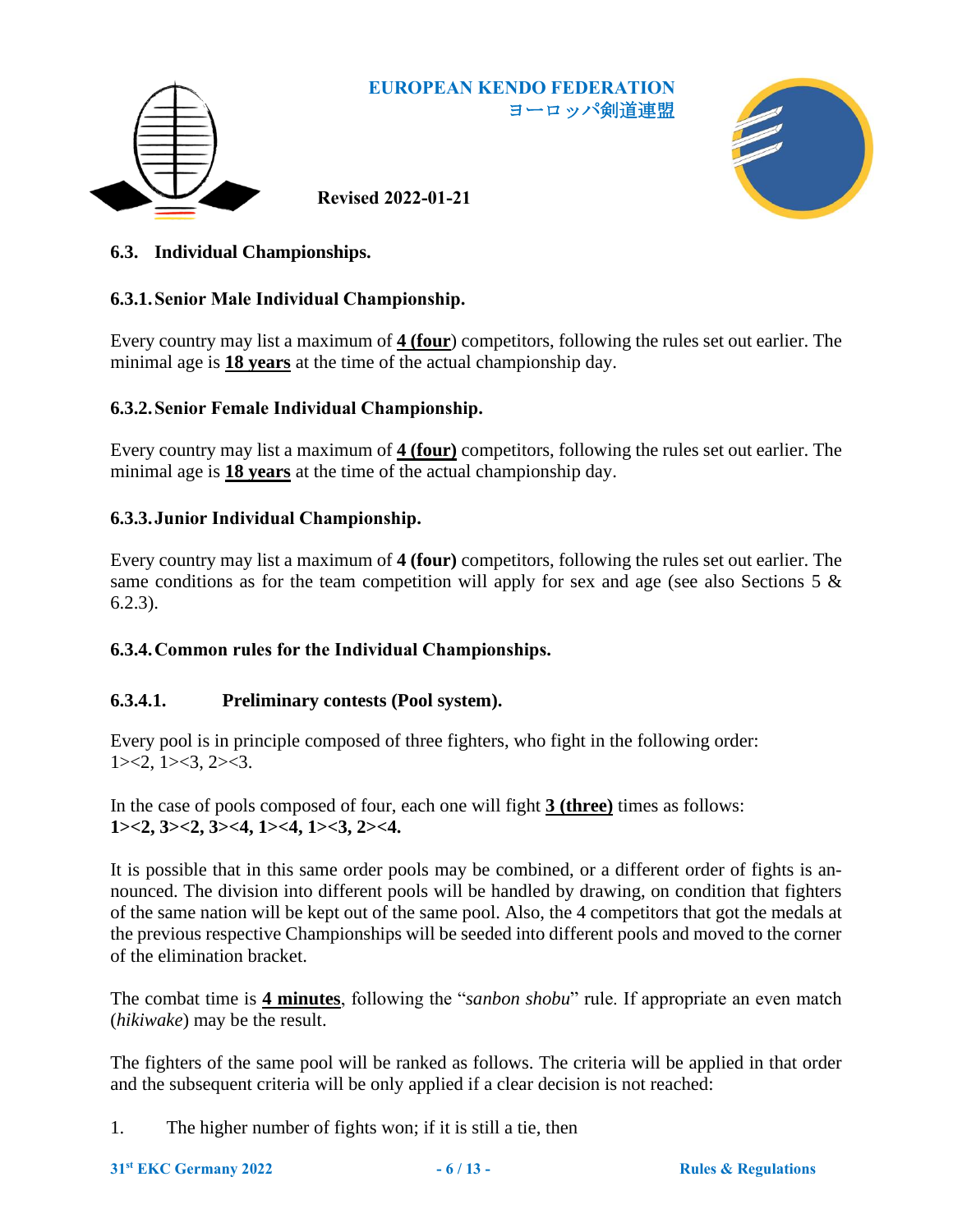

**Revised 2022-01-21**



# **6.3. Individual Championships.**

# **6.3.1.Senior Male Individual Championship.**

Every country may list a maximum of **4 (four**) competitors, following the rules set out earlier. The minimal age is **18 years** at the time of the actual championship day.

#### **6.3.2.Senior Female Individual Championship.**

Every country may list a maximum of **4 (four)** competitors, following the rules set out earlier. The minimal age is **18 years** at the time of the actual championship day.

# **6.3.3.Junior Individual Championship.**

Every country may list a maximum of **4 (four)** competitors, following the rules set out earlier. The same conditions as for the team competition will apply for sex and age (see also Sections [5](#page-1-0)  $\&$ [6.2.3\)](#page-3-0).

# **6.3.4.Common rules for the Individual Championships.**

# **6.3.4.1. Preliminary contests (Pool system).**

Every pool is in principle composed of three fighters, who fight in the following order:  $1 \times 2, 1 \times 3, 2 \times 3.$ 

In the case of pools composed of four, each one will fight **3 (three)** times as follows: **1><2, 3><2, 3><4, 1><4, 1><3, 2><4.**

It is possible that in this same order pools may be combined, or a different order of fights is announced. The division into different pools will be handled by drawing, on condition that fighters of the same nation will be kept out of the same pool. Also, the 4 competitors that got the medals at the previous respective Championships will be seeded into different pools and moved to the corner of the elimination bracket.

The combat time is **4 minutes**, following the "*sanbon shobu*" rule. If appropriate an even match (*hikiwake*) may be the result.

The fighters of the same pool will be ranked as follows. The criteria will be applied in that order and the subsequent criteria will be only applied if a clear decision is not reached:

1. The higher number of fights won; if it is still a tie, then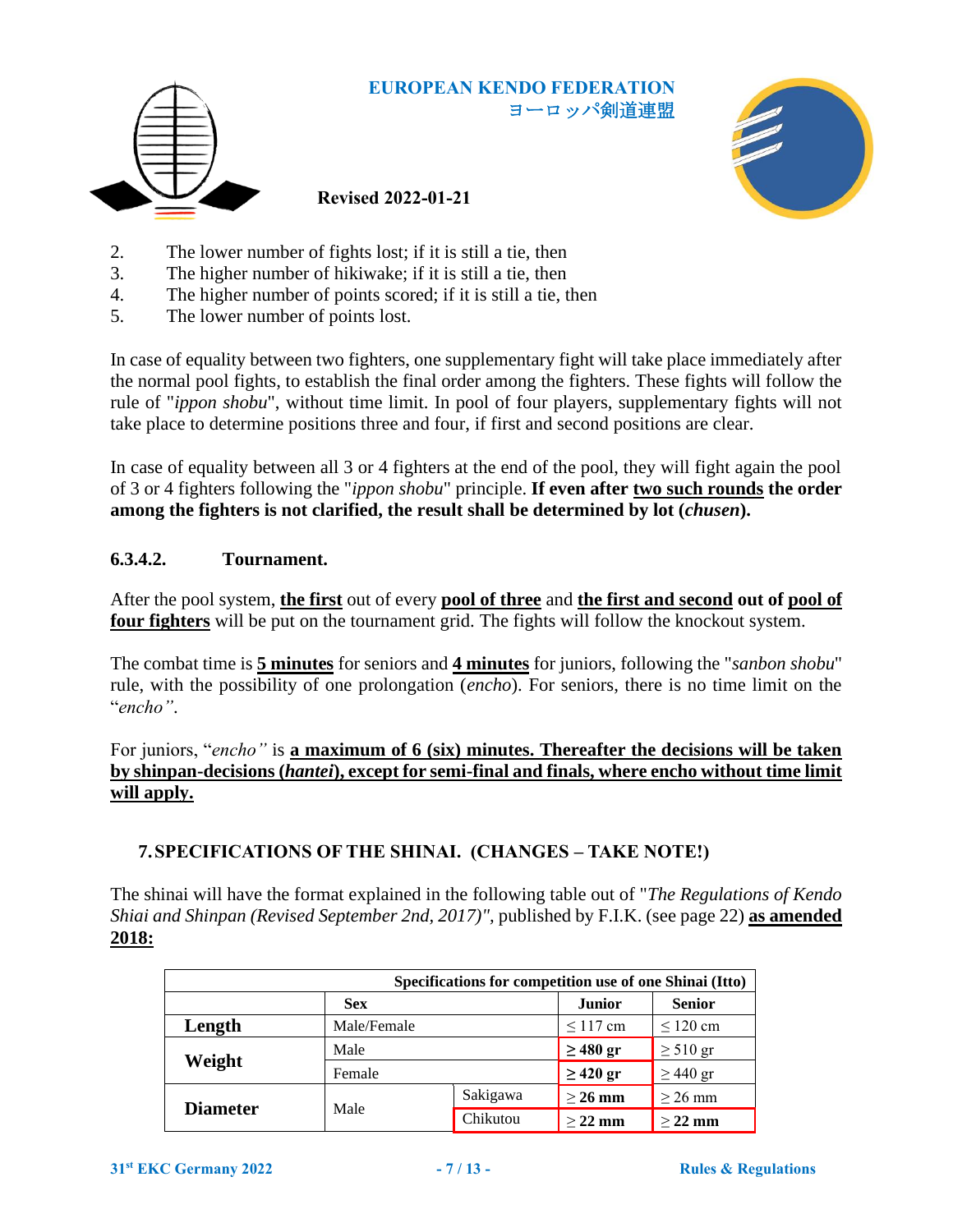

**Revised 2022-01-21**



- 2. The lower number of fights lost; if it is still a tie, then
- 3. The higher number of hikiwake; if it is still a tie, then
- 4. The higher number of points scored; if it is still a tie, then
- 5. The lower number of points lost.

In case of equality between two fighters, one supplementary fight will take place immediately after the normal pool fights, to establish the final order among the fighters. These fights will follow the rule of "*ippon shobu*", without time limit. In pool of four players, supplementary fights will not take place to determine positions three and four, if first and second positions are clear.

In case of equality between all 3 or 4 fighters at the end of the pool, they will fight again the pool of 3 or 4 fighters following the "*ippon shobu*" principle. **If even after two such rounds the order among the fighters is not clarified, the result shall be determined by lot (***chusen***).**

# **6.3.4.2. Tournament.**

After the pool system, **the first** out of every **pool of three** and **the first and second out of pool of four fighters** will be put on the tournament grid. The fights will follow the knockout system.

The combat time is **5 minutes** for seniors and **4 minutes** for juniors, following the "*sanbon shobu*" rule, with the possibility of one prolongation (*encho*). For seniors, there is no time limit on the "*encho"*.

For juniors, "*encho"* is **a maximum of 6 (six) minutes. Thereafter the decisions will be taken by shinpan-decisions (***hantei***), except for semi-final and finals, where encho without time limit will apply.**

# **7.SPECIFICATIONS OF THE SHINAI. (CHANGES – TAKE NOTE!)**

The shinai will have the format explained in the following table out of "*The Regulations of Kendo Shiai and Shinpan (Revised September 2nd, 2017)",* published by F.I.K. (see page 22) **as amended 2018:**

| Specifications for competition use of one Shinai (Itto) |             |          |               |               |
|---------------------------------------------------------|-------------|----------|---------------|---------------|
|                                                         | <b>Sex</b>  |          | <b>Junior</b> | <b>Senior</b> |
| Length                                                  | Male/Female |          | $\leq$ 117 cm | $\leq 120$ cm |
|                                                         | Male        |          | $\geq 480$ gr | $\geq 510$ gr |
| Weight                                                  | Female      |          | $\geq$ 420 gr | $\geq$ 440 gr |
|                                                         | Male        | Sakigawa | $>$ 26 mm     | $\geq$ 26 mm  |
| <b>Diameter</b>                                         |             | Chikutou | $>$ 22 mm     | $>$ 22 mm     |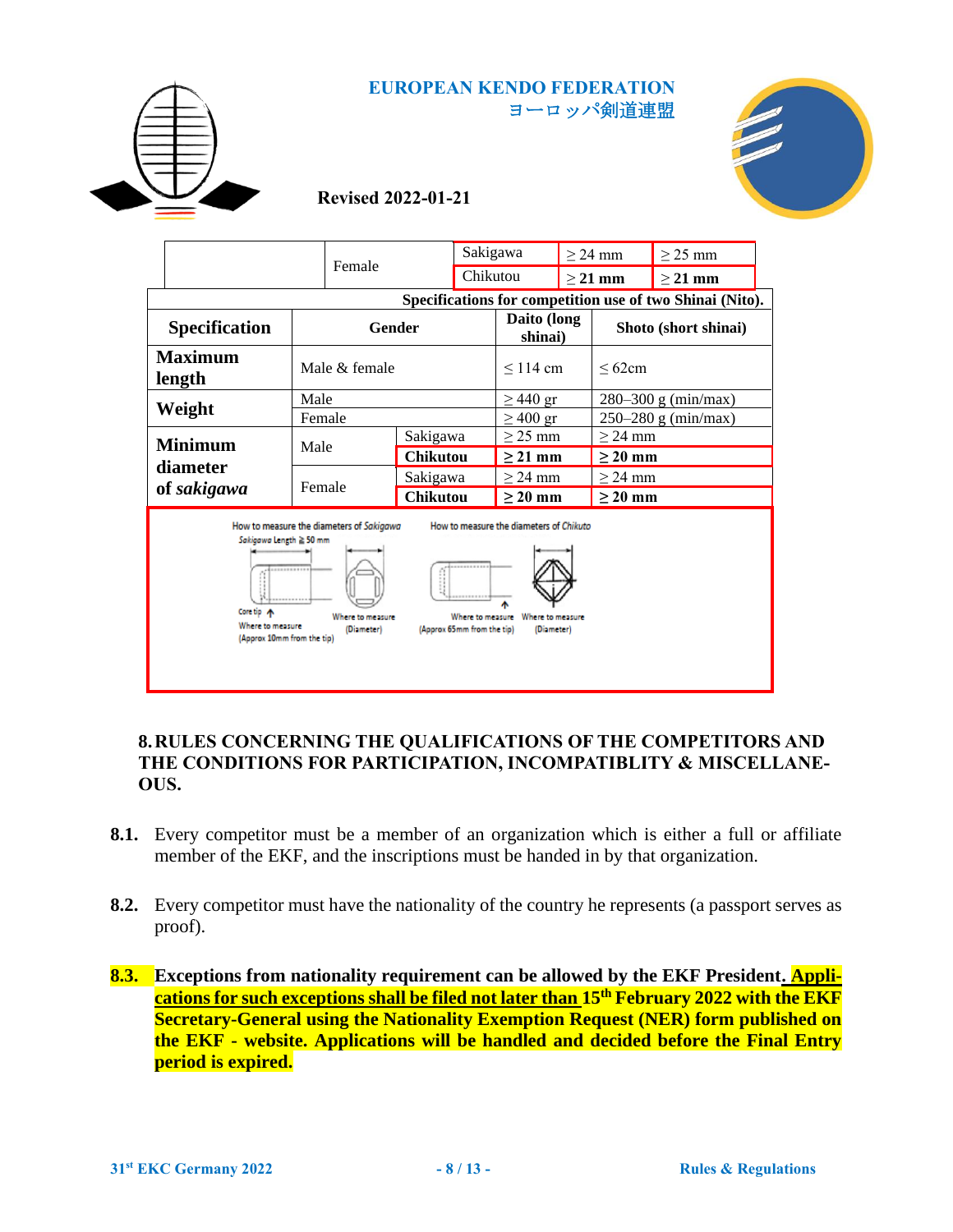



# **Revised 2022-01-21**

|                                                                                                                                                                                                                                                                                                          | Female                   |               | Sakigawa        |          |                        | $>$ 24 mm |                         | $\geq$ 25 mm                                             |  |
|----------------------------------------------------------------------------------------------------------------------------------------------------------------------------------------------------------------------------------------------------------------------------------------------------------|--------------------------|---------------|-----------------|----------|------------------------|-----------|-------------------------|----------------------------------------------------------|--|
|                                                                                                                                                                                                                                                                                                          |                          |               |                 | Chikutou |                        | $>$ 21 mm |                         | $\geq$ 21 mm                                             |  |
|                                                                                                                                                                                                                                                                                                          |                          |               |                 |          |                        |           |                         | Specifications for competition use of two Shinai (Nito). |  |
| <b>Specification</b><br>Gender                                                                                                                                                                                                                                                                           |                          |               |                 |          | Daito (long<br>shinai) |           | Shoto (short shinai)    |                                                          |  |
|                                                                                                                                                                                                                                                                                                          | <b>Maximum</b><br>length | Male & female |                 |          | $\leq$ 114 cm          |           | $\leq 62$ cm            |                                                          |  |
|                                                                                                                                                                                                                                                                                                          | Weight                   | Male          |                 |          | $\geq$ 440 gr          |           | $280 - 300$ g (min/max) |                                                          |  |
|                                                                                                                                                                                                                                                                                                          |                          | Female        |                 |          | $\geq 400$ gr          |           | $250 - 280$ g (min/max) |                                                          |  |
|                                                                                                                                                                                                                                                                                                          | <b>Minimum</b>           | Male          | Sakigawa        |          | $\geq$ 25 mm           |           | $\geq$ 24 mm            |                                                          |  |
|                                                                                                                                                                                                                                                                                                          | diameter                 |               | <b>Chikutou</b> |          | $\geq$ 21 mm           |           | $\geq 20$ mm            |                                                          |  |
|                                                                                                                                                                                                                                                                                                          |                          | Female        | Sakigawa        |          | $\geq$ 24 mm           |           | $\geq$ 24 mm            |                                                          |  |
|                                                                                                                                                                                                                                                                                                          | of sakigawa              |               | <b>Chikutou</b> |          | $\geq 20$ mm           |           | $\geq 20$ mm            |                                                          |  |
| How to measure the diameters of Chikuto<br>How to measure the diameters of Sakigawa<br>Sakigawa Length ≥ 50 mm<br><br>Core tip A<br>Where to measure<br>Where to measure<br>Where to measure<br>Where to measure<br>(Diameter)<br>(Approx 65mm from the tip)<br>(Diameter)<br>(Approx 10mm from the tip) |                          |               |                 |          |                        |           |                         |                                                          |  |

#### **8.RULES CONCERNING THE QUALIFICATIONS OF THE COMPETITORS AND THE CONDITIONS FOR PARTICIPATION, INCOMPATIBLITY & MISCELLANE-OUS.**

- **8.1.** Every competitor must be a member of an organization which is either a full or affiliate member of the EKF, and the inscriptions must be handed in by that organization.
- **8.2.** Every competitor must have the nationality of the country he represents (a passport serves as proof).
- **8.3. Exceptions from nationality requirement can be allowed by the EKF President. Applications for such exceptions shall be filed not later than 15th February 2022 with the EKF Secretary-General using the Nationality Exemption Request (NER) form published on the EKF - website. Applications will be handled and decided before the Final Entry period is expired.**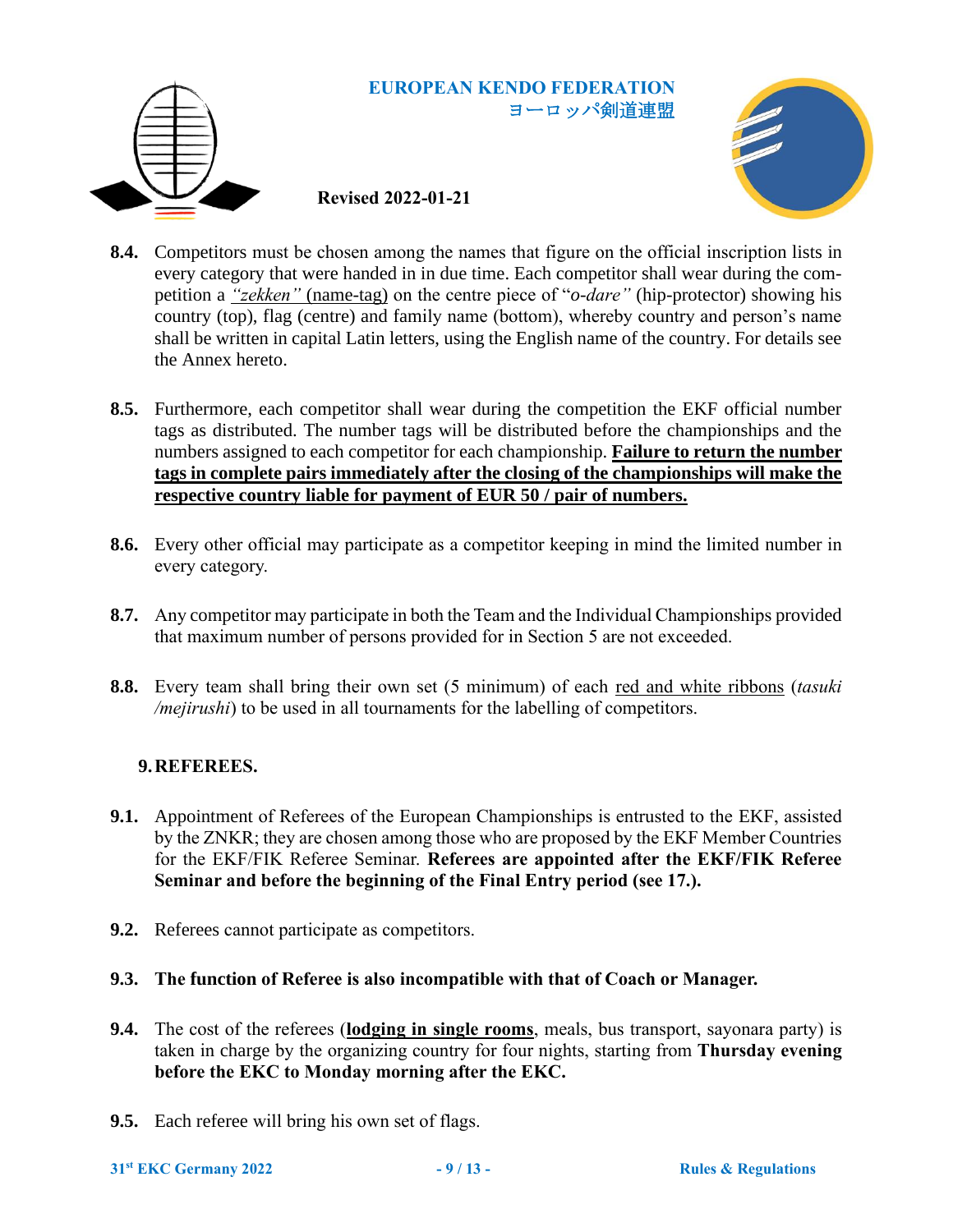

# **Revised 2022-01-21**



- **8.4.** Competitors must be chosen among the names that figure on the official inscription lists in every category that were handed in in due time. Each competitor shall wear during the competition a *"zekken"* (name-tag) on the centre piece of "*o-dare"* (hip-protector) showing his country (top), flag (centre) and family name (bottom), whereby country and person's name shall be written in capital Latin letters, using the English name of the country. For details see the Annex hereto.
- **8.5.** Furthermore, each competitor shall wear during the competition the EKF official number tags as distributed. The number tags will be distributed before the championships and the numbers assigned to each competitor for each championship. **Failure to return the number tags in complete pairs immediately after the closing of the championships will make the respective country liable for payment of EUR 50 / pair of numbers.**
- **8.6.** Every other official may participate as a competitor keeping in mind the limited number in every category.
- **8.7.** Any competitor may participate in both the Team and the Individual Championships provided that maximum number of persons provided for in Section [5](#page-1-0) are not exceeded.
- **8.8.** Every team shall bring their own set (5 minimum) of each red and white ribbons (*tasuki /mejirushi*) to be used in all tournaments for the labelling of competitors.

# **9.REFEREES.**

- **9.1.** Appointment of Referees of the European Championships is entrusted to the EKF, assisted by the ZNKR; they are chosen among those who are proposed by the EKF Member Countries for the EKF/FIK Referee Seminar. **Referees are appointed after the EKF/FIK Referee Seminar and before the beginning of the Final Entry period (see 17.).**
- **9.2.** Referees cannot participate as competitors.
- **9.3. The function of Referee is also incompatible with that of Coach or Manager.**
- **9.4.** The cost of the referees (**lodging in single rooms**, meals, bus transport, sayonara party) is taken in charge by the organizing country for four nights, starting from **Thursday evening before the EKC to Monday morning after the EKC.**
- **9.5.** Each referee will bring his own set of flags.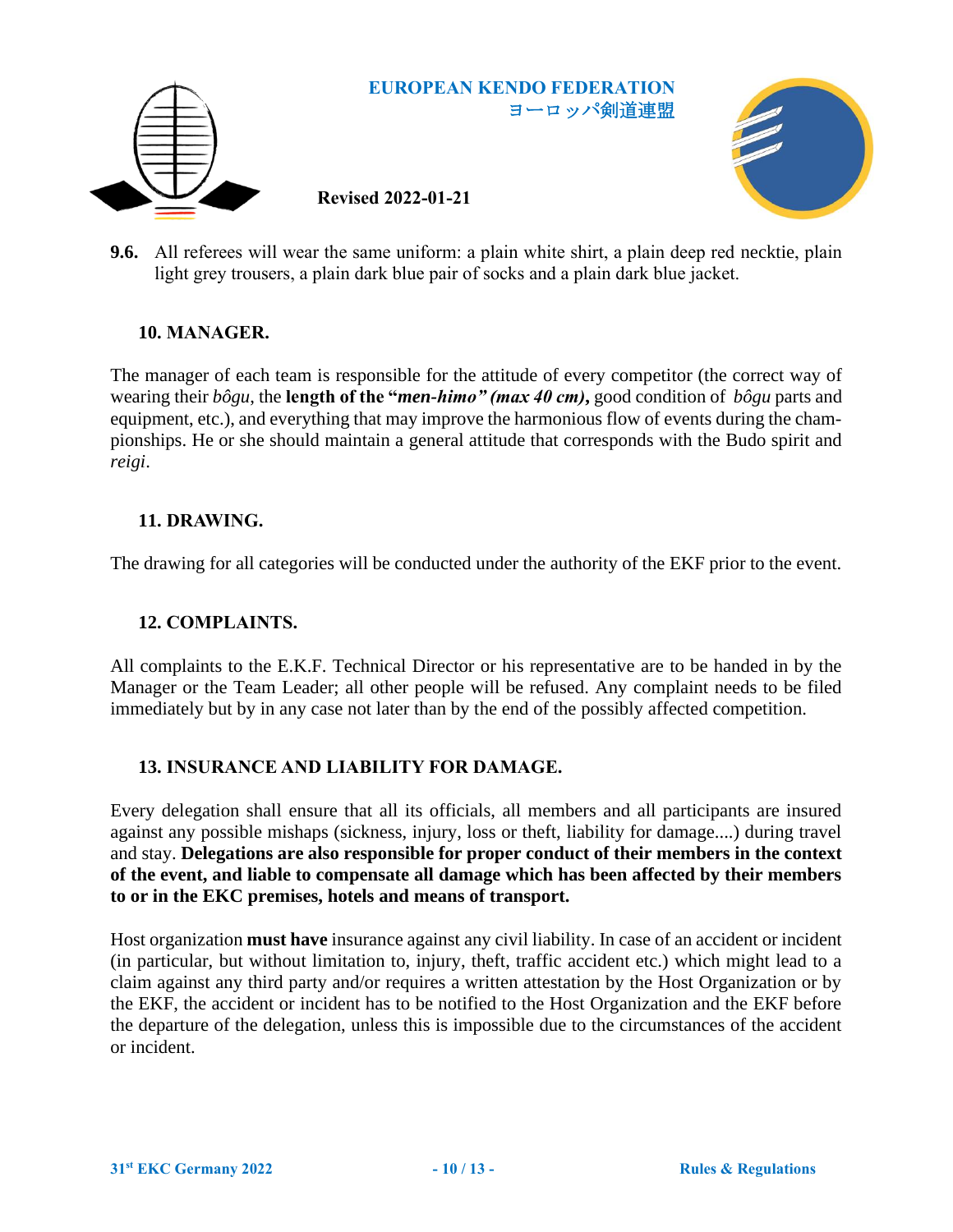

**9.6.** All referees will wear the same uniform: a plain white shirt, a plain deep red necktie, plain light grey trousers, a plain dark blue pair of socks and a plain dark blue jacket.

#### **10. MANAGER.**

The manager of each team is responsible for the attitude of every competitor (the correct way of wearing their *bôgu*, the **length of the "***men-himo" (max 40 cm)***,** good condition of *bôgu* parts and equipment, etc.), and everything that may improve the harmonious flow of events during the championships. He or she should maintain a general attitude that corresponds with the Budo spirit and *reigi*.

#### **11. DRAWING.**

The drawing for all categories will be conducted under the authority of the EKF prior to the event.

#### **12. COMPLAINTS.**

All complaints to the E.K.F. Technical Director or his representative are to be handed in by the Manager or the Team Leader; all other people will be refused. Any complaint needs to be filed immediately but by in any case not later than by the end of the possibly affected competition.

#### **13. INSURANCE AND LIABILITY FOR DAMAGE.**

Every delegation shall ensure that all its officials, all members and all participants are insured against any possible mishaps (sickness, injury, loss or theft, liability for damage....) during travel and stay. **Delegations are also responsible for proper conduct of their members in the context of the event, and liable to compensate all damage which has been affected by their members to or in the EKC premises, hotels and means of transport.**

Host organization **must have** insurance against any civil liability. In case of an accident or incident (in particular, but without limitation to, injury, theft, traffic accident etc.) which might lead to a claim against any third party and/or requires a written attestation by the Host Organization or by the EKF, the accident or incident has to be notified to the Host Organization and the EKF before the departure of the delegation, unless this is impossible due to the circumstances of the accident or incident.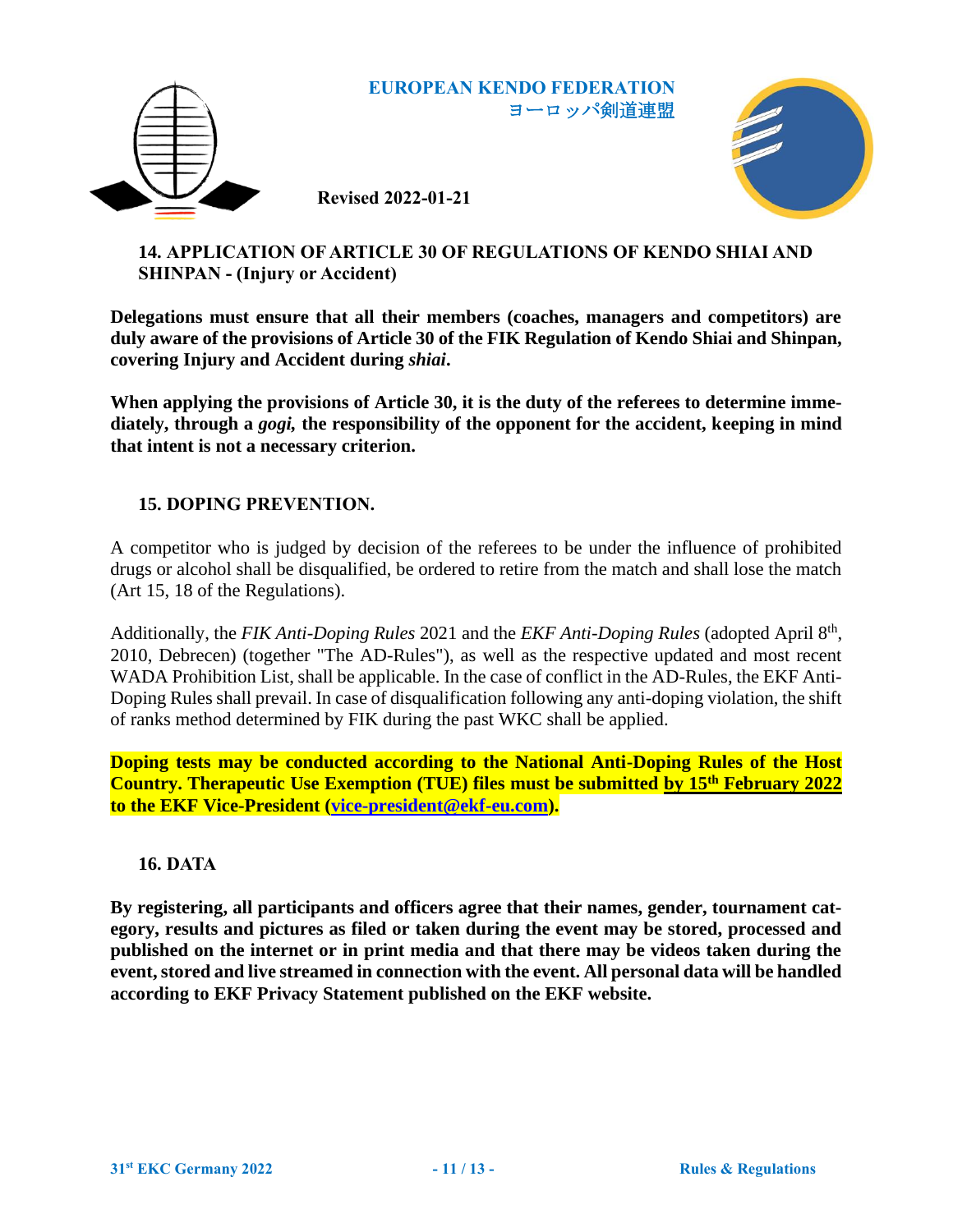





# **14. APPLICATION OF ARTICLE 30 OF REGULATIONS OF KENDO SHIAI AND SHINPAN - (Injury or Accident)**

**Delegations must ensure that all their members (coaches, managers and competitors) are duly aware of the provisions of Article 30 of the FIK Regulation of Kendo Shiai and Shinpan, covering Injury and Accident during** *shiai***.** 

**When applying the provisions of Article 30, it is the duty of the referees to determine immediately, through a** *gogi,* **the responsibility of the opponent for the accident, keeping in mind that intent is not a necessary criterion.**

# **15. DOPING PREVENTION.**

A competitor who is judged by decision of the referees to be under the influence of prohibited drugs or alcohol shall be disqualified, be ordered to retire from the match and shall lose the match (Art 15, 18 of the Regulations).

Additionally, the *FIK Anti-Doping Rules* 2021 and the *EKF Anti-Doping Rules* (adopted April 8<sup>th</sup>, 2010, Debrecen) (together "The AD-Rules"), as well as the respective updated and most recent WADA Prohibition List, shall be applicable. In the case of conflict in the AD-Rules, the EKF Anti-Doping Rules shall prevail. In case of disqualification following any anti-doping violation, the shift of ranks method determined by FIK during the past WKC shall be applied.

**Doping tests may be conducted according to the National Anti-Doping Rules of the Host Country. Therapeutic Use Exemption (TUE) files must be submitted by 15th February 2022 to the EKF Vice-President [\(vice-president@ekf-eu.com\)](mailto:vice-president@ekf-eu.com?subject=29EKC2019BELGRADE%20-%20Anti-Doping%20-%20TUE%20-%20Request).**

# **16. DATA**

**By registering, all participants and officers agree that their names, gender, tournament category, results and pictures as filed or taken during the event may be stored, processed and published on the internet or in print media and that there may be videos taken during the event, stored and live streamed in connection with the event. All personal data will be handled according to EKF Privacy Statement published on the EKF website.**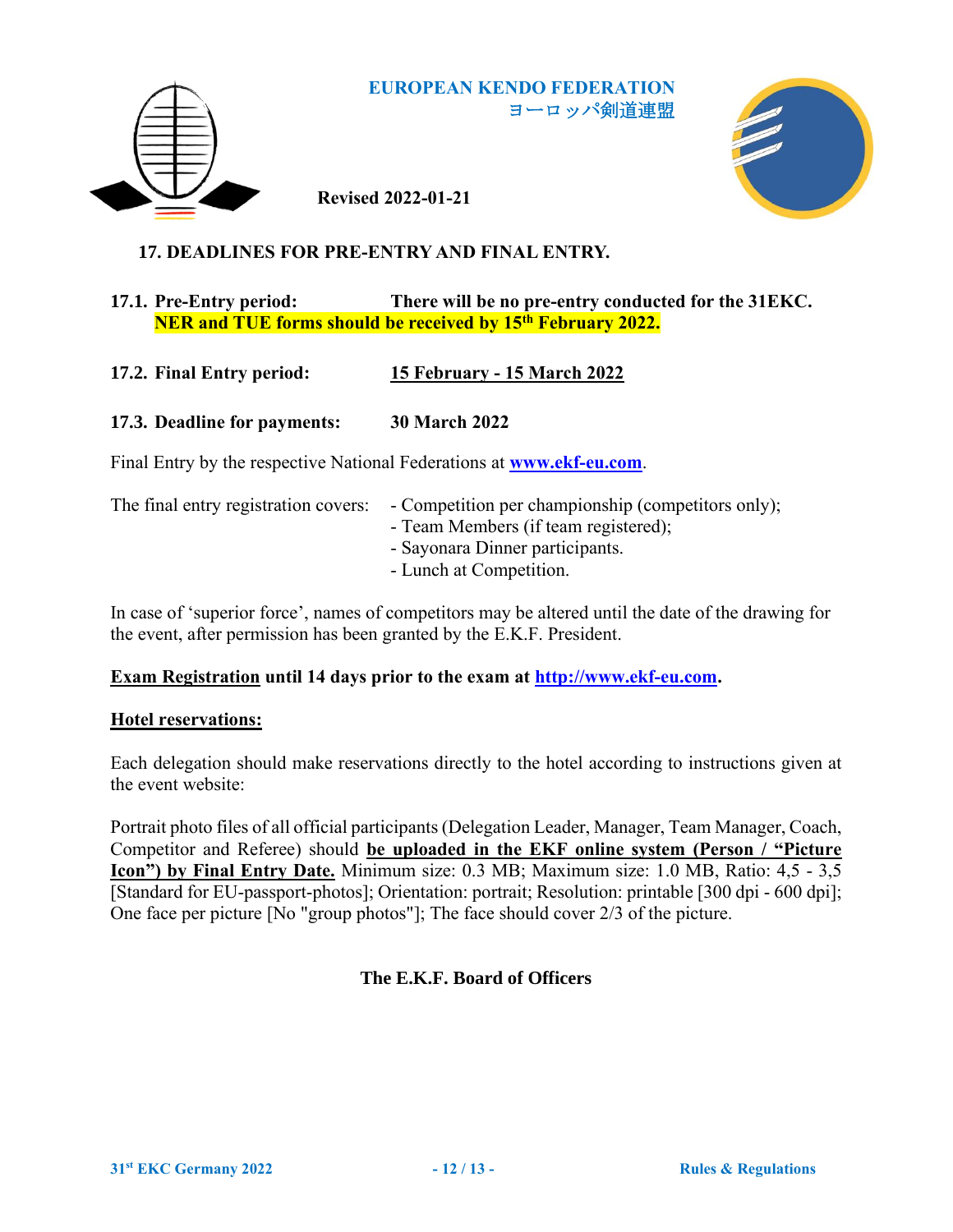

**Revised 2022-01-21**



# **17. DEADLINES FOR PRE-ENTRY AND FINAL ENTRY.**

## **17.1. Pre-Entry period: There will be no pre-entry conducted for the 31EKC. NER and TUE forms should be received by 15th February 2022.**

# **17.2. Final Entry period: 15 February - 15 March 2022**

# **17.3. Deadline for payments: 30 March 2022**

Final Entry by the respective National Federations at **[www.ekf-eu.com](http://www.ekf-eu.com/)**.

| The final entry registration covers: - Competition per championship (competitors only); |
|-----------------------------------------------------------------------------------------|
| - Team Members (if team registered);                                                    |
| - Sayonara Dinner participants.                                                         |
| - Lunch at Competition.                                                                 |

In case of 'superior force', names of competitors may be altered until the date of the drawing for the event, after permission has been granted by the E.K.F. President.

# **Exam Registration until 14 days prior to the exam at [http://www.ekf-eu.com.](http://www.ekf-eu.com/)**

#### **Hotel reservations:**

Each delegation should make reservations directly to the hotel according to instructions given at the event website:

Portrait photo files of all official participants (Delegation Leader, Manager, Team Manager, Coach, Competitor and Referee) should **be uploaded in the EKF online system (Person / "Picture Icon") by Final Entry Date.** Minimum size: 0.3 MB; Maximum size: 1.0 MB, Ratio: 4,5 - 3,5 [Standard for EU-passport-photos]; Orientation: portrait; Resolution: printable [300 dpi - 600 dpi]; One face per picture [No "group photos"]; The face should cover 2/3 of the picture.

# **The E.K.F. Board of Officers**